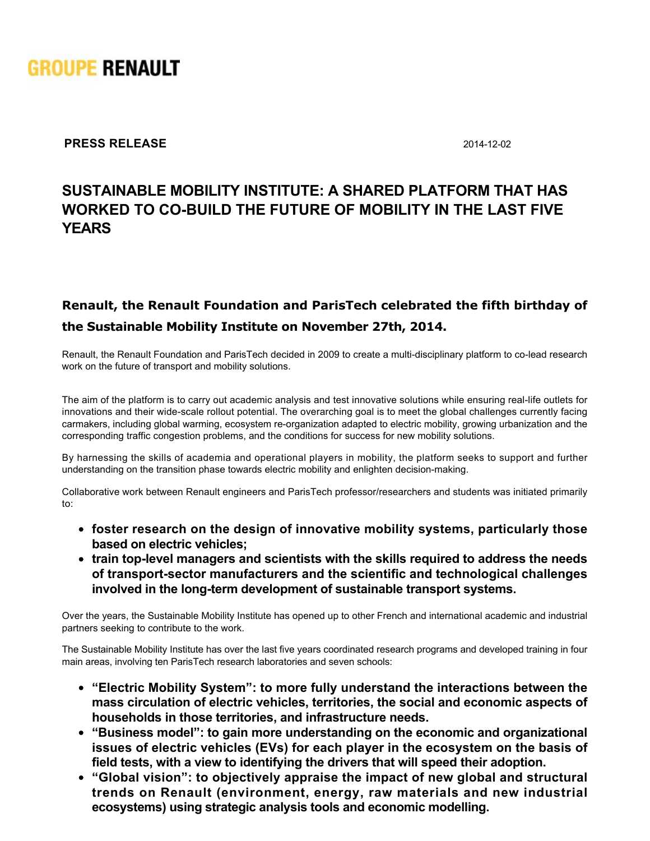

**PRESS RELEASE** 2014-12-02

# **SUSTAINABLE MOBILITY INSTITUTE: A SHARED PLATFORM THAT HAS** WORKED TO CO-BUILD THE FUTURE OF MOBILITY IN THE LAST FIVE **YEARS**

## **Renault, the Renault Foundation and ParisTech celebrated the fifth birthday of the Sustainable Mobility Institute on November 27th, 2014.**

Renault, the Renault Foundation and ParisTech decided in 2009 to create a multi-disciplinary platform to co-lead research work on the future of transport and mobility solutions.

The aim of the platform is to carry out academic analysis and test innovative solutions while ensuring real-life outlets for innovations and their wide-scale rollout potential. The overarching goal is to meet the global challenges currently facing carmakers, including global warming, ecosystem re-organization adapted to electric mobility, growing urbanization and the corresponding traffic congestion problems, and the conditions for success for new mobility solutions.

By harnessing the skills of academia and operational players in mobility, the platform seeks to support and further understanding on the transition phase towards electric mobility and enlighten decision-making.

Collaborative work between Renault engineers and ParisTech professor/researchers and students was initiated primarily to:

- **foster research on the design of innovative mobility systems, particularly those based on electric vehicles;**
- train top-level managers and scientists with the skills required to address the needs **of transportsector manufacturers and the scientific and technological challenges** involved in the long-term development of sustainable transport systems.

Over the years, the Sustainable Mobility Institute has opened up to other French and international academic and industrial partners seeking to contribute to the work.

The Sustainable Mobility Institute has over the last five years coordinated research programs and developed training in four main areas, involving ten ParisTech research laboratories and seven schools:

- **"Electric Mobility System": to more fully understand the interactions between the mass circulation of electric vehicles, territories, the social and economic aspects of households in those territories, and infrastructure needs.**
- **"Business model": to gain more understanding on the economic and organizational issues of electric vehicles (EVs) for each player in the ecosystem on the basis of field tests, with a view to identifying the drivers that will speed their adoption.**
- **"Global vision": to objectively appraise the impact of new global and structural trends on Renault (environment, energy, raw materials and new industrial ecosystems) using strategic analysis tools and economic modelling.**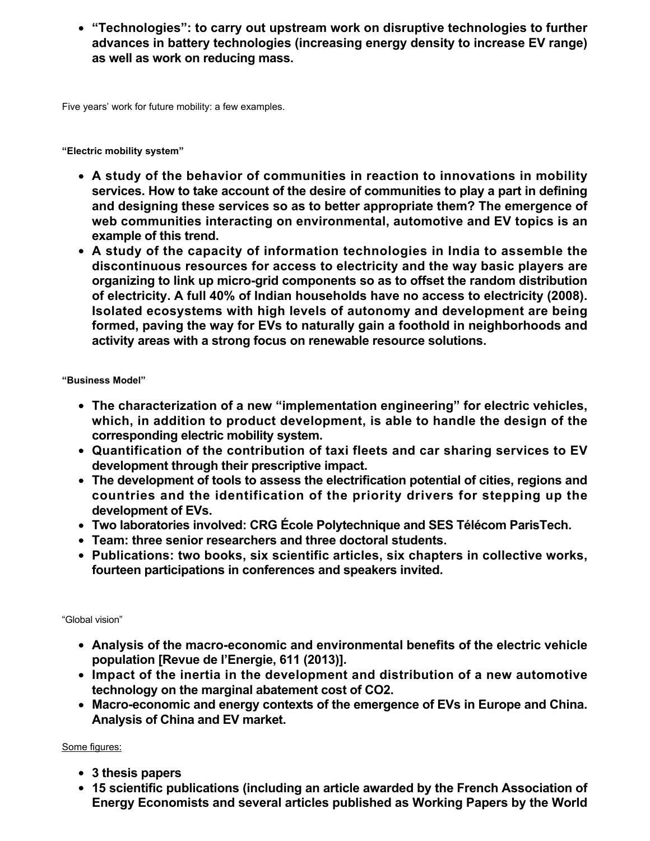**"Technologies": to carry out upstream work on disruptive technologies to further advances in battery technologies (increasing energy density to increase EV range) as well as work on reducing mass.**

Five years' work for future mobility: a few examples.

**"Electric mobility system"**

- **A study of the behavior of communities in reaction to innovations in mobility services. How to take account of the desire of communities to play a part in defining and designing these services so as to better appropriate them? The emergence of web communities interacting on environmental, automotive and EV topics is an example of this trend.**
- **A study of the capacity of information technologies in India to assemble the discontinuous resources for access to electricity and the way basic players are** organizing to link up micro-grid components so as to offset the random distribution **of electricity. A full 40% of Indian households have no access to electricity (2008). Isolated ecosystems with high levels of autonomy and development are being formed, paving the way for EVs to naturally gain a foothold in neighborhoods and activity areas with a strong focus on renewable resource solutions.**

**"Business Model"**

- **The characterization of a new "implementation engineering" for electric vehicles, which, in addition to product development, is able to handle the design of the corresponding electric mobility system.**
- **Quantification of the contribution of taxi fleets and car sharing services to EV development through their prescriptive impact.**
- **The development of tools to assess the electrification potential of cities, regions and countries and the identification of the priority drivers for stepping up the development of EVs.**
- **Two laboratories involved: CRG École Polytechnique and SES Télécom ParisTech.**
- **Team: three senior researchers and three doctoral students.**
- **Publications: two books, six scientific articles, six chapters in collective works, fourteen participations in conferences and speakers invited.**

"Global vision"

- **Analysis of the macro-economic and environmental benefits of the electric vehicle population [Revue de l'Energie, 611 (2013)].**
- **Impact of the inertia in the development and distribution of a new automotive technology on the marginal abatement cost of CO2.**
- Macro-economic and energy contexts of the emergence of EVs in Europe and China. **Analysis of China and EV market.**

Some figures:

- **3 thesis papers**
- **15 scientific publications (including an article awarded by the French Association of Energy Economists and several articles published as Working Papers by the World**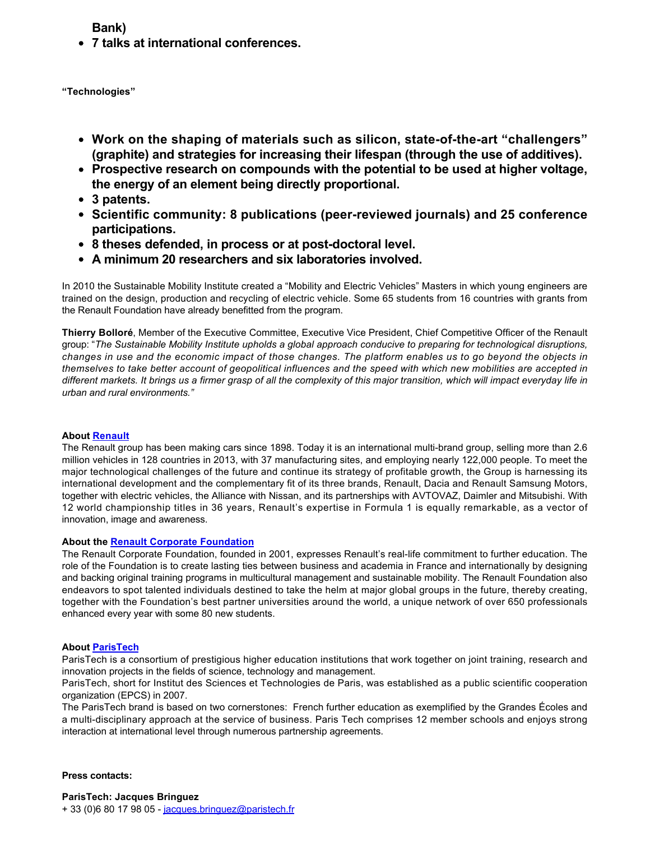**Bank)**

**7 talks at international conferences.**

**"Technologies"**

- Work on the shaping of materials such as silicon, state-of-the-art "challengers" **(graphite) and strategies for increasing their lifespan (through the use of additives).**
- **Prospective research on compounds with the potential to be used at higher voltage, the energy of an element being directly proportional.**
- **3 patents.**
- **Scientific community: 8 publications (peer-reviewed journals) and 25 conference participations.**
- 8 theses defended, in process or at post-doctoral level.
- **A minimum 20 researchers and six laboratories involved.**

In 2010 the Sustainable Mobility Institute created a "Mobility and Electric Vehicles" Masters in which young engineers are trained on the design, production and recycling of electric vehicle. Some 65 students from 16 countries with grants from the Renault Foundation have already benefitted from the program.

**Thierry Bolloré**, Member of the Executive Committee, Executive Vice President, Chief Competitive Officer of the Renault group: "*The Sustainable Mobility Institute upholds a global approach conducive to preparing for technological disruptions, changes in use and the economic impact of those changes. The platform enables us to go beyond the objects in themselves to take better account of geopolitical influences and the speed with which new mobilities are accepted in different markets. It brings us a firmer grasp of all the complexity of this major transition, which will impact everyday life in urban and rural environments."*

### **About [Renault](http://www.group.renault.com)**

The Renault group has been making cars since 1898. Today it is an international multi-brand group, selling more than 2.6 million vehicles in 128 countries in 2013, with 37 manufacturing sites, and employing nearly 122,000 people. To meet the major technological challenges of the future and continue its strategy of profitable growth, the Group is harnessing its international development and the complementary fit of its three brands, Renault, Dacia and Renault Samsung Motors, together with electric vehicles, the Alliance with Nissan, and its partnerships with AVTOVAZ, Daimler and Mitsubishi. With 12 world championship titles in 36 years, Renault's expertise in Formula 1 is equally remarkable, as a vector of innovation, image and awareness.

### **About the [Renault Corporate Foundation](http://www.fondation.renault.com)**

The Renault Corporate Foundation, founded in 2001, expresses Renault's reallife commitment to further education. The role of the Foundation is to create lasting ties between business and academia in France and internationally by designing and backing original training programs in multicultural management and sustainable mobility. The Renault Foundation also endeavors to spot talented individuals destined to take the helm at major global groups in the future, thereby creating, together with the Foundation's best partner universities around the world, a unique network of over 650 professionals enhanced every year with some 80 new students.

### **About [ParisTech](http://www.paristech.fr)**

ParisTech is a consortium of prestigious higher education institutions that work together on joint training, research and innovation projects in the fields of science, technology and management.

ParisTech, short for Institut des Sciences et Technologies de Paris, was established as a public scientific cooperation organization (EPCS) in 2007.

The ParisTech brand is based on two cornerstones: French further education as exemplified by the Grandes Écoles and a multi-disciplinary approach at the service of business. Paris Tech comprises 12 member schools and enjoys strong interaction at international level through numerous partnership agreements.

**Press contacts:**